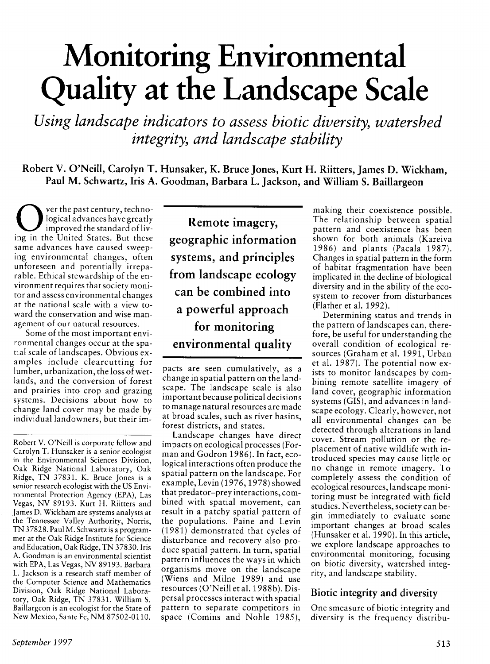# Monitoring Environmental Quality at the Landscape Scale

*Using landscape indicators to assess biotic diversity, watershed integrity, and landscape stability* 

Robert V. O'Neill, Carolyn T. Hunsaker, K. Bruce Jones, Kurt H. Riitters, James D. Wickham, Paul M. Schwartz, Iris A. Goodman, Barbara L. Jackson, and William S. Baillargeon

ver the past century, technological advances have greatly improved the standard of living in the United States. But these same advances have caused sweeping environmental changes, often unforeseen and potentially irreparable. Ethical stewardship of the environment requires that society monitor and assess environmental changes at the national scale with a view toward the conservation and wise management of our natural resources.

Some of the most important environmental changes occur at the spatial scale of landscapes. Obvious examples include clearcutting for lumber, urbanization, the loss of wetlands, and the conversion of forest and prairies into crop and grazing systems. Decisions about how to change land cover may be made by individual landowners, but their im-

Remote imagery, geographic information systems, and principles from landscape ecology can be combined into a powerful approach for monitoring environmental quality

pacts are seen cumulatively, as a change in spatial pattern on the landscape. The landscape scale is also important because political decisions to manage natural resources are made at broad scales, such as river basins, forest districts. and states.

Landscape changes have direct impacts on ecological processes (Forman and Godron 1986). In fact, ecological interactions often produce the spatial pattern on the landscape. For example, Levin (1976,1978) showed that predator-prey interactions, combined with spatial movement, can result in a patchy spatial pattern of the populations. Paine and Levin (1981) demonstrated that cycles of disturbance and recovery also produce spatial pattern. In turn, spatial pattern influences the ways in which organisms move on the landscape (Wiens and Milne 1989) and use resources (O'Neill et al. 1988b). Dispersal processes interact with spatial pattern to separate competitors in space (Comins and Noble 1985),

making their coexistence possible. The relationship between spatial pattern and coexistence has been shown for both animals (Kareiva 1986) and plants (Pacala 1987). Changes in spatial pattern in the form of habitat fragmentation have been implicated in the decline of biological diversitv and in the abilitv of the ecosystem to recover from disturbances (Flather et al. 1992).

Determining status and trends in the pattern of landscapes can, therefore, be useful for understanding the overall condition of ecological resources (Graham et al. 1991, Urban et al. 1987). The potential now exists to monitor landscapes by combining remote satellite imagery of land cover, geographic information systems (GIs), and advances in landscape ecology. Clearly, however, not all environmental changes can be detected through alterations in land cover. Stream pollution or the replacement of native wildlife with introduced species may cause little or no change in remote imagery. To completely assess the condition of ecological resources, landscape monitoring must be integrated with field studies. Nevertheless, society can begin immediately to evaluate some important changes at broad scales (Hunsaker et al. 1990). In this article. we explore landscape approaches to environmental monitoring, focusing on biotic diversity, watershed integrity, and landscape stability.

## Biotic integrity and diversity

One smeasure of biotic integrity and diversity is the frequency distribu-

Robert V. O'Neill is corporate fellow and Carolyn T. Hunsaker is a senior ecologist in the Environmental Sciences Division, Oak Ridge National Laboratory, Oak Ridge, TN 37831. K. Bruce Jones is a senior research ecologist with the US Environmental Protection Agency (EPA), Las Vegas, NV 89193. Kurt H. Riitters and James D. Wickham are systems analysts at the Tennessee Valley Authority, Norris, TN 37828. Paul M. Schwartz is a programmer at the Oak Ridge Institute for Science and Education, Oak Ridge, TN 37830. Iris **A.** Goodman is an environmental scientist with EPA, Las Vegas, NV 89193. Barbara L. Jackson is a research staff member of the Computer Science and Mathematics Division, Oak Ridge National Laboratory, Oak Ridge, TN 37831. William S. Baillargeon is an ecologist for the State of New Mexico, Sante Fe, NM 87502-0110.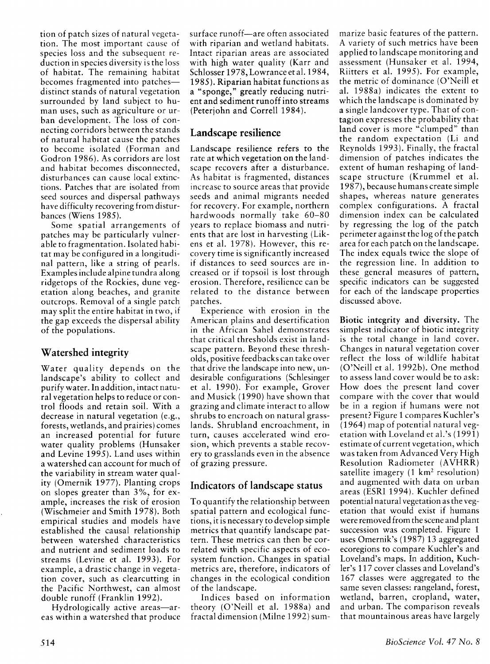tion of patch sizes of natural vegetation. The most important cause of species loss and the subsequent reduction in species diversity is the loss of habitat. The remaining habitat becomes fragmented into patchesdistinct stands of natural vegetation surrounded by land subject to human uses, such as agriculture or urban development. The loss of connecting corridors between the stands of natural habitat cause the patches to become isolated (Forman and Godron 1986). As corridors are lost and habitat becomes disconnected, disturbances can cause local extinctions. Patches that are isolated from seed sources and dispersal pathways have difficulty recovering from disturbances (Wiens 1985).

Some spatial arrangements of patches may be particularly vulnerable to fragmentation. Isolated habitat may be configured in a longitudinal pattern, like a string of pearls. Examples include alpine tundra along ridgetops of the Rockies, dune vegetation along beaches, and granite outcrops. Removal of a single patch may split the entire habitat in two, if the gap exceeds the dispersal ability of the populations.

## **Watershed integrity**

Water quality depends on the landscape's ability to collect and purify water. In addition, intact natural vegetation helps to reduce or control floods and retain soil. With a decrease in natural vegetation (e.g., forests, wetlands, and prairies) comes an increased potential for future water quality problems (Hunsaker and Levine 1995). Land uses within a watershed can account for much of the variability in stream water quality (Omernik 1977). Planting crops on slopes greater than 3%, for example, increases the risk of erosion (Wischmeier and Smith 1978). Both empirical studies and models have established the causal relationship between watershed characteristics and nutrient and sediment loads to streams (Levine et al. 1993). For example, a drastic change in vegetation cover, such as clearcutting in the Pacific Northwest, can almost double runoff (Franklin 1992).

Hydrologically active areas-areas within a watershed that produce surface runoff-are often associated with riparian and wetland habitats. Intact riparian areas are associated with high water quality (Karr and Schlosser 1978, Lowrance et al. 1984, 1985). Riparian habitat functions as a "sponge," greatly reducing nutrient and sediment runoff into streams (Peterjohn and Correll 1984).

#### **Landscape resilience**

Landscape resilience refers to the rate at which vegetation on the landscaoe recovers after a disturbance. As habitat is fragmented, distances increase to source areas that provide seeds and animal migrants needed for recovery. For example, northern hardwoods normally take 60-80 years to replace biomass and nutrients that are lost in harvesting (Likens et al. 1978). However. this recovery time is significantly increased if distances to seed sources are increased or if topsoil is lost through erosion. Therefore, resilience can be related to the distance between patches.

Experience with erosion in the American plains and desertification in the African Sahel demonstrates that critical thresholds exist in landscape pattern. Beyond these thresholds, positive feedbacks can take over that drive the landscape into new, undesirable configurations (Schlesinger et al. 1990). For example, Grover and Musick (1990) have shown that grazing and climate interact to allow shrubs to encroach on natural grasslands. Shrubland encroachment, in turn, causes accelerated wind erosion, which prevents a stable recovery to grasslands even in the absence of grazing pressure.

#### **Indicators of landscape status**

To quantify the relationship between spatial pattern and ecological functions, it is necessary to develop simple metrics that quantify landscape pattern. These metrics can then be correlated with specific aspects of ecosystem function. Changes in spatial metrics are, therefore, indicators of changes in the ecological condition of the landscaoe.

Indices based on information theory (O'Neill et al. 1988a) and fractal dimension (Milne 1992) summarize basic features of the pattern. A variety of such metrics have been applied to landscape monitoring and assessment (Hunsaker et al. 1994, Riitters et al. 1995). For example, the metric of dominance (O'Neill et al. 1988a) indicates the extent to which the landscape is dominated by a single landcover type. That of contagion expresses the probability that land cover is more "clumped" than the random expectation (Li and Reynolds 1993). Finally, the fractal dimension of patches indicates the extent of human reshaping of landscape structure (Krummel et al. 1987), because humans create simple shapes, whereas nature generates complex configurations. A fractal dimension index can be calculated by regressing the log of the patch perimeter against the log of the patch area for each patch on the landscape. The index equals twice the slope of the regression line. In addition to these general measures of pattern, specific indicators can be suggested for each of the landscape properties discussed above.

Biotic integrity and diversity. The simplest indicator of biotic integrity is the total change in land cover. Changes in natural vegetation cover reflect the loss of wildlife habitat (O'Neill et al. 1992b). One method to assess land cover would be to ask: How does the present land cover compare with the cover that would be in a region if humans were not present? Figure 1 compares Kuchler's (1964) map of potential natural vegetation with Loveland et al.'s (1991) estimate of current vegetation. which was taken from Advanced Very High Resolution Radiometer (AVHRR) satellite imagery (1 km<sup>2</sup> resolution) and augmented with data on urban areas (ESRI 1994). Kuchler defined potential natural vegetation as the vegetation that would exist if humans were removed from the scene and plant succession was completed. Figure 1 uses Omernik's (1987) 13 aggregated ecoregions to compare Kuchler's and Loveland's maps. In addition, Kuchler's 117 cover classes and Loveland's 167 classes were aggregated to the same seven classes: rangeland, forest, wetland, barren, cropland, water, and urban. The comparison reveals that mountainous areas have largely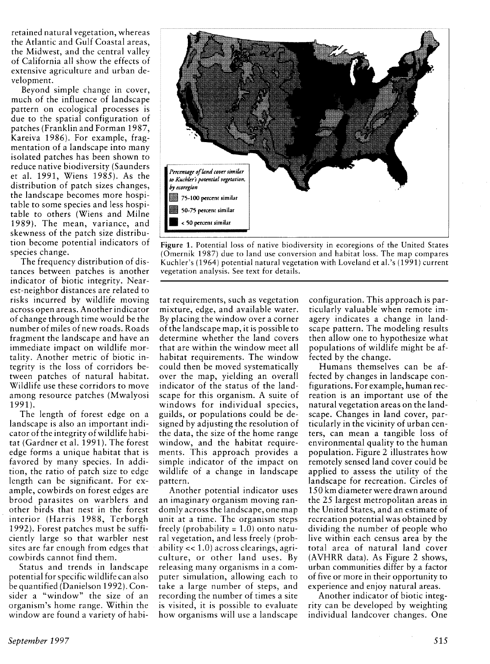retained natural vegetation, whereas the Atlantic and Gulf Coastal areas, the Midwest, and the central valley of California all show the effects of extensive agriculture and urban development.

Beyond simple change in cover, much of the influence of landscape pattern on ecological processes is due to the spatial configuration of patches (Franklin and Forman 1987, Kareiva 1986). For example, fragmentation of a landscape into many isolated patches has been shown to reduce native biodiversity (Saunders et al. 1991. Wiens 1985). As the distribution of patch sizes changes, the landscape becomes more hospitable to some species and less hospitable to others (Wiens and Milne 1989). The mean. variance. and skewness of the patch size distribution become potential indicators of species change.

The freauencv distribution of distances between patches is another indicator of biotic integrity. Nearest-neighbor distances are related to risks incurred by wildlife moving across open areas. Another indicator of change through time would be the number of miles of new roads. Roads fragment the landscape and have an immediate impact on wildlife mortality. Another metric of biotic integrity is the loss of corridors between patches of natural habitat. Wildlife use these corridors to move among resource patches (Mwalyosi 1991).

The length of forest edge on a landscape is also an important indicator of the integrity of wildlife habitat (Gardner et al. 1991). The forest edge forms a unique habitat that is favored by many species. In addition, the ratio of patch size to edge length can be significant. For example, cowbirds on forest edges are brood parasites on warblers and other birds that nest in the forest interior (Harris 1988, Terborgh 1992). Forest patches must be sufficiently large so that warbler nest sites are far enough from edges that cowbirds cannot find them.

Status and trends in landscape potential for specific wildlife can also be quantified (Danielson 1992). Consider a "window" the size of an organism's home range. Within the window are found a variety of habi-



Figure 1. Potential loss of native biodiversity in ecoregions of the United States (Omernik 1987) due to land use conversion and habitat loss. The map compares Kuchler's (1964) potential natural vegetation with Loveland et al.'s (1991) current vegetation analysis. See text for details.

tat requirements, such as vegetation mixture, edge, and available water. By placing the window over a corner of the landscape map, it is possible to determine whether the land covers that are within the window meet all habitat requirements. The window could then be moved systematically over the map, yielding an overall indicator of the status of the landscape for this organism. **A** suite of windows for individual species, guilds, or populations could be designed by adjusting the resolution of the data, the size of the home range window, and the habitat requirements. This approach provides a simple indicator of the impact on wildlife of a change in landscape pattern.

Another potential indicator uses an imaginary organism moving randomly across the landscape, one map unit at a time. The organism steps freely (probability  $= 1.0$ ) onto natural vegetation, and less freely (probability *cc* 1.0) across clearings, agriculture, or other land uses. By releasing many organisms in a computer simulation, allowing each to take a large number of steps, and recording the number of times a site is visited, it is possible to evaluate how organisms will use a landscape configuration. This approach is particularly valuable when remote imagery indicates a change in landscape pattern. The modeling results then allow one to hypothesize what populations of wildlife might be affected by the change.

Humans themselves can be affected by changes in landscape configurations. For example, human recreation is an important use of the natural vegetation areas on the landscape. Changes in land cover, particularly in the vicinity of urban centers, can mean a tangible loss of environmental quality to the human population. Figure 2 illustrates how remotely sensed land cover could be applied to assess the utility of the landscape for recreation. Circles of 150 km diameter were drawn around the 25 largest metropolitan areas in the United States, and an estimate of recreation potential was obtained by dividing the number of people who live within each census area by the total area of natural land cover (AVHRR data). As Figure 2 shows, urban communities differ by a factor of five or more in their opportunity to experience and enjoy natural areas.

Another indicator of biotic integrity can be developed by weighting individual landcover changes. One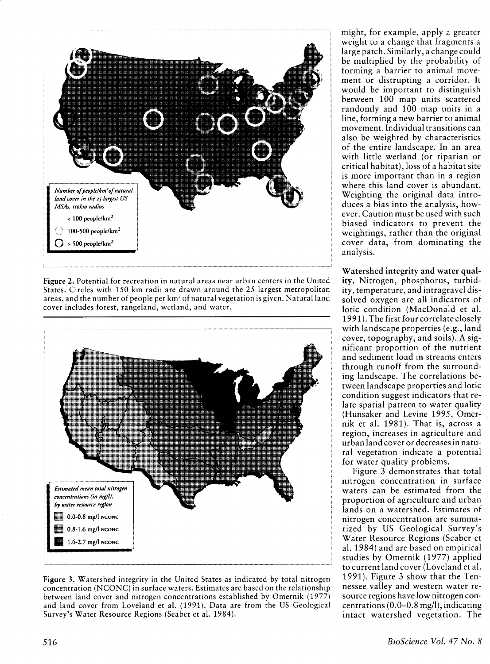

Figure **2.** Potential for recreation in natural areas near urban centers in the United ity. Nitrogen, phosphorus, turbid-States. Circles with 150 km radii are drawn around the 25 largest metropolitan ity, temperature, and intragraveldisareas, and the number of people per km<sup>2</sup> of natural vegetation is given. Natural land solved oxygen are all indicators of cover includes forest, rangeland, wetland, and water. lotic condition (MacDonald et al.



Figure **3.** Watershed integrity in the United States as indicated by total nitrogen concentration (NCONC) in surface waters. Estimates are based on the relationship between land cover and nitrogen concentrations established by Omernik (1977) and land cover from Loveland et al. (1991). Data are from the US Geological Survey's Water Resource Regions (Seaber et al. 1984).

might, for example, apply a greater weight to a change that fragments a large patch. Similarly, a change could be multiplied by the probability of forming a barrier to animal movement or distrupting a corridor. It would be important to distinguish between 100 map units scattered randomly and 100 map units in a line, forming a new barrier to animal movement. Individual transitions can also be weighted by characteristics of the entire landscape. In an area with little wetland (or riparian or critical habitat), loss of a habitat site is more important than in a region where this land cover is abundant. Weighting the original data introduces a bias into the analysis, however. Caution must be used with such biased indicators to prevent the weighting, rather than the original cover data, from dominating the analysis.

Watershed integrity and water qual-1991). The first four correlate closely<br>with landscape properties (e.g., land cover, topography, and soils). **A** significant proportion of the nutrient and sediment load in streams enters through runoff from the surrounding landscape. The correlations between landscape properties and lotic condition suggest indicators that relate spatial pattern to water quality (Hunsaker and Levine 1995, Omernik et al. 1981). That is, across a region, increases in agriculture and urban land cover or decreases in natural vegetation indicate a potential for water quality problems.

Figure 3 demonstrates that total nitrogen concentration in surface waters can be estimated from the proportion of agriculture and urban lands on a watershed. Estimates of nitrogen concentration are summarized by US Geological Survey's Water Resource Regions (Seaber et al. 1984) and are based on empirical studies by Omernik (1977) applied to current land cover (Loveland et al. 1991). Figure 3 show that the Tennessee valley and western water resource regions have low nitrogen concentrations (0.0-0.8 mg/l), indicating intact watershed vegetation. The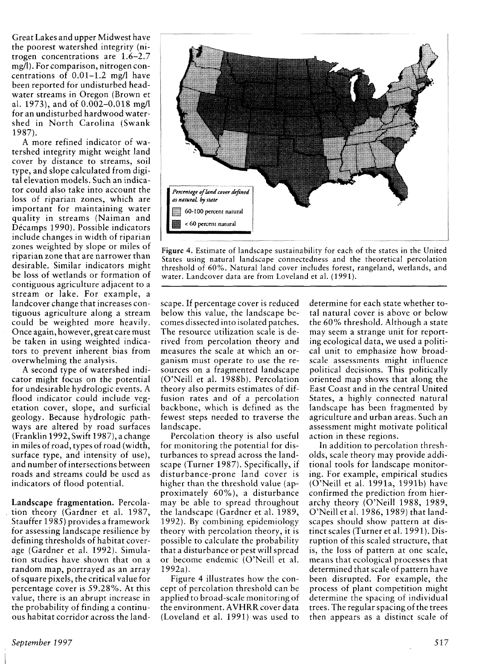Great Lakes and upper Midwest have the poorest watershed integrity (nitrogen concentrations are 1.6-2.7 mg/l). For comparison, nitrogen concentrations of  $0.01-1.2$  mg/l have been reported for undisturbed headwater streams in Oregon (Brown et al. 1973), and of 0.002-0.018 mg/l for an undisturbed hardwood watershed in North Carolina (Swank 1987).

A more refined indicator of watershed integrity might weight land cover by distance to streams, soil type, and slope calculated from digital elevation models. Such an indicator could also take into account the loss of riparian zones, which are important for maintaining water quality in streams (Naiman and Décamps 1990). Possible indicators include changes in width of riparian zones weighted by slope or miles of riparian zone that are narrower than desirable. Similar indicators might be loss of wetlands or formation of contiguous agriculture adjacent to a stream or lake. For example, a landcover change that increases contiguous agriculture along a stream could be weighted more heavily. Once again, however, great care must be taken in using weighted indicators to prevent inherent bias from overwhelming the analysis.

A second type of watershed indicator might focus on the potential for undesirable hydrologic events. A flood indicator could include vegetation cover, slope, and surficial geology. Because hydrologic pathways are altered by road surfaces (Franklin 1992, Swift 1987), a change in miles of road, types of road (width, surface type, and intensity of use), and number of intersections between roads and streams could be used as indicators of flood potential.

Landscape fragmentation. Percolation theory (Gardner et al. 1987, Stauffer 1985) provides a framework for assessing landscape resilience by defining thresholds of habitat coverage (Gardner et al. 1992). Simulation studies have shown that on a random map, portrayed as an array of square pixels, the critical value for percentage cover is 59.28%. **At** this value, there is an abrupt increase in the probability of finding a continuous habitat corridor across the land-



Figure 4. Estimate of landscape sustainability for each of the states in the United States using natural landscape connectedness and the theoretical percolation threshold of 60%. Natural land cover includes forest, rangeland, wetlands, and water. Landcover data are from Loveland et al. (1991).

scape. If percentage cover is reduced below this value, the landscape becomes dissected into isolated patches. The resource utilization scale is derived from percolation theory and measures the scale at which an organism must operate to use the resources on a fragmented landscape (O'Neill et al. 1988b). Percolation theory also permits estimates of diffusion rates and of a percolation backbone, which is defined as the fewest steps needed to traverse the landscape.

Percolation theory is also useful for monitoring the potential for disturbances to spread across the landscape (Turner 1987). Specifically, if disturbance-prone land cover is higher than the threshold value (approximately  $60\%$ ), a disturbance may be able to spread throughout the landscape (Gardner et al. 1989, 1992). By combining epidemiology theory with percolation theory, it is possible to calculate the probability that a disturbance or pest will spread or become endemic (O'Neill et al.

1992a).<br>Figure 4 illustrates how the con-Figure 4 illustrates how the con-<br>con- been disrupted. For example, the<br>cept of percolation threshold can be<br>process of plant competition might applied to broad-scale monitoring of determine the spacing of individual the environment. AVHRR cover data trees. The regular spacing of the trees<br>(Loveland et al. 1991) was used to then appears as a distinct scale of

determine for each state whether total natural cover is above or below the 60% threshold. Although a state may seem a strange unit for reporting ecological data, we used a political unit to emphasize how broadscale assessments might influence political decisions. This politically oriented map shows that along the East Coast and in the central United States, a highly connected natural landscape has been fragmented by agriculture and urban areas. Such an assessment might motivate political action in these regions.

In addition to percolation thresholds, scale theory may provide additional tools for landscape monitoring. For example, empirical studies (O'Neill et al. 1991a, 1991b) have confirmed the prediction from hierarchy theory (O'Neill 1988, 1989, O'Neill et al. 1986. 1989) that landscapes should show pattern at distinct scales (Turner et al. 1991). Disruption of this scaled structure, that is, the loss of pattern at one scale, means that ecological processes that determined that scale of pattern have process of plant competition might then appears as a distinct scale of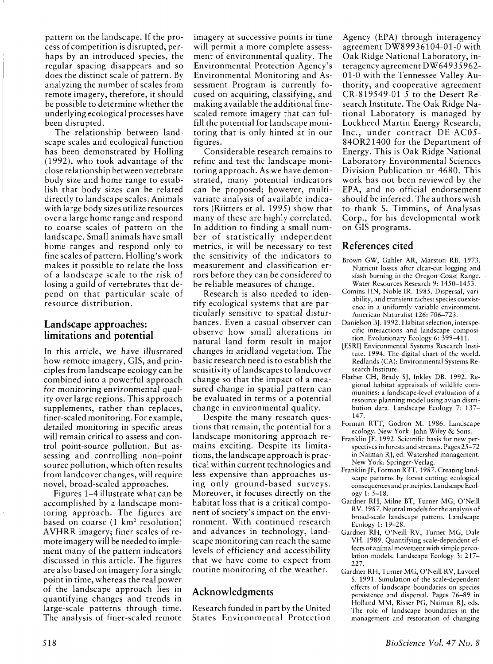pattern on the landscape. If the process of competition is disrupted, perhaps by an introduced species, the regular spacing disappears and so does the distinct scale of pattern. By analyzing the number of scales from remote imagery, therefore, it should be possible to determine whether the underlying ecological processes have been disrupted.

The relationship between landscape scales and ecological function has been demonstrated by Holling (1992), who took advantage of the close relationship between vertebrate body size and home range to establish that body sizes can be related directly to landscape scales. Animals with large body sizes utilize resources over a large home range and respond to coarse scales of pattern on the landscape. Small animals have small home ranges and respond only to fine scales of pattern. Holling's work makes it possible to relate the loss of a landscape scale to the risk of losing a guild of vertebrates that depend on that particular scale of resource distribution.

### **Landscape approaches: limitations and potential**

In this article, we have illustrated how remote imagery, GIS, and principles from landscape ecology can be combined into a powerful approach for monitoring environmental quality over large regions. This approach supplements, rather than replaces, finer-scaled monitoring. For example, detailed monitoring in specific areas will remain critical to assess and control point-source pollution. But assessing and controlling non-point source pollution, which often results from landcover changes, will require novel, broad-scaled approaches.

Figures 1-4 illustrate what can be accomplished by a landscape monitoring approach. The figures are based on coarse (1 km' resolution) AVHRR imagery; finer scales of remote imagery will be needed to implement many of the pattern indicators discussed in this article. The figures are also based on imagery for a single point in time, whereas the real power of the landscape approach lies in quantifying changes and trends in large-scale patterns through time. The analysis of finer-scaled remote

imagery at successive points in time will permit a more complete assessment of environmental quality. The Environmental Protection Agency's Environmental Monitoring and Assessment Program is currently focused on acquiring, classifying, and making available the additional finescaled remote imagery that can fulfill the potential for landscape monitoring that is only hinted at in our figures.

Considerable research remains to refine and test the landscape monitoring approach. As we have demonstrated, many potential indicators can be proposed; however, multivariate analysis of available indicators (Riitters et al. 1995) show that many of these are highly correlated. In addition to finding a small number of statistically independent metrics, it will be necessary to test the sensitivity of the indicators to measurement and classification errors before they can be considered to be reliable measures of change.

Research is also needed to identify ecological systems that are particularly sensitive to spatial disturbances. Even a casual observer can observe how small alterations in natural land form result in major changes in aridland vegetation. The basic research need is to establish the sensitivity of landscapes to landcover change so that the impact of a measured change in spatial pattern can be evaluated in terms of a potential change in environmental quality.

Despite the many research questions that remain, the potential for a landscape monitoring approach remains exciting. Despite its limitations, the landscape approach is practical within current technologies and less expensive than approaches using only ground-based surveys. Moreover, it focuses directly on the habitat loss that is a critical component of society's impact on the environment. With continued research and advances in technology, landscape monitoring can reach the same levels of efficiency and accessibility that we have come to expect from routine monitoring of the weather.

#### **Acknowledgments**

Research funded in part by the United States Environmental Protection Agency (EPA) through interagency agreement DW89936104-01-0 with Oak Ridge National Laboratory, interagency agreement DW64935962- 01-0 with the Tennessee Valley Authority, and cooperative agreement CR-819549-01-5 to the Desert Research Institute. The Oak Ridge National Laboratory is managed by Lockheed Martin Energy Research, Inc., under contract DE-ACO5- 840R21400 for the Department of Energy. This is Oak Ridge National Laboratory Environmental Sciences Division Publication nr 4680. This work has not been reviewed bv the EPA, and no official endorsement should be inferred. The authors wish to thank S. Timmins, of Analysas Corp., for his developmental work on GIs programs.

#### **References cited**

- Brown GW, Gahler AR, Marston RB. 1973. Nutrient losses after clear-cut logging and slash burning in the Oregon Coast Range. Water Resources Research 9: 1450-1453.
- Comins HN, Noble IR. 1985. Dispersal, variability, and transient niches: species coexistence in a uniformly variable environment. American Naturalist 126: 706-723.
- Danielson BJ. 1992. Habitat selection, interspecific interactions and landscape composition. Evolutionary Ecology 6: 399-411.
- [ESRI] Environmental Systems Research Institute. 1994. The digital chart of the world. Redlands (CA): Environmental Systems Research Institute.
- Flather CH, Brady SJ, Inkley DB. 1992. Regional habitat appraisals of wildlife communities: a landscape-level evaluation of a resource planning model using avian distribution data. Landscape Ecology 7: 137- 147.
- Forman RTT, Godron M. 1986. Landscape ecology. New York: John Wiley & Sons.
- Franklin JF. 1992. Scientific basis for new perspectives in forests and streams. Pages 25-72 in Naiman RJ, ed. Watershed management. New York: Springer-Verlag.
- Franklin JF, Forman RTT. 1987. Creating landscape patterns by forest cutting: ecological consequences and principles. Landscape Ecology 1: 5-1 8.
- Gardner RH, Milne BT, Turner MG, O'Neill RV. 1987. Neutral models for the analysis of broad-scale landscape pattern. Landscape Ecology 1: 19-28.
- Gardner RH, O'Neill RV, Turner MG, Dale VH. 1989. Quantifying scale-dependent effects of animal movement with simple percolation models. Landscape Ecology 3: 217- 227.
- Gardner RH, Turner MG, O'Neill RV, Lavorel S. 1991. Simulation of the scale-dependent effects of landscape boundaries on species persistence and dispersal. Pages 76-89 in Holland MM, Risser PG, Naiman RJ, eds. The role of landscape boundaries in the management and restoration of changing